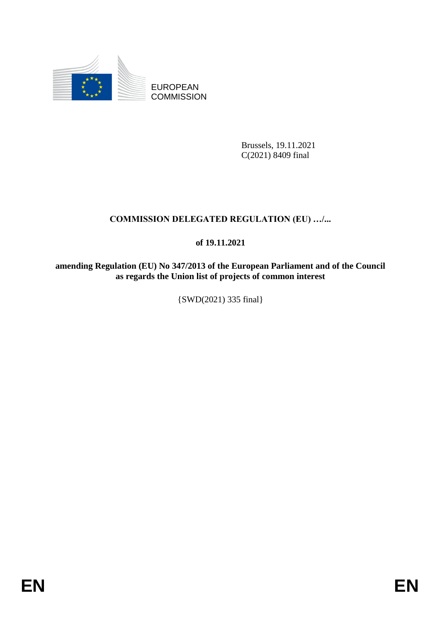

EUROPEAN **COMMISSION** 

> Brussels, 19.11.2021 C(2021) 8409 final

# **COMMISSION DELEGATED REGULATION (EU) …/...**

### **of 19.11.2021**

**amending Regulation (EU) No 347/2013 of the European Parliament and of the Council as regards the Union list of projects of common interest**

{SWD(2021) 335 final}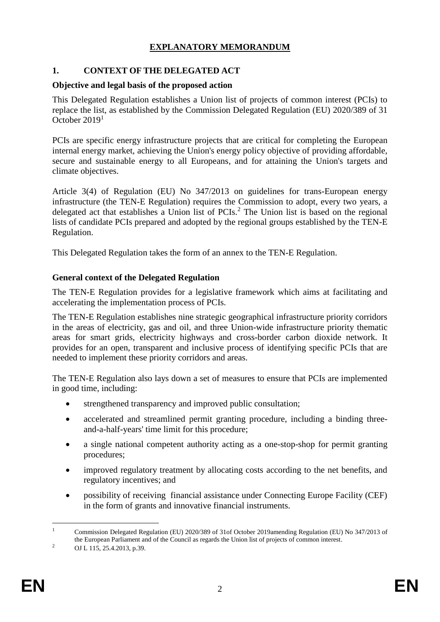# **EXPLANATORY MEMORANDUM**

### **1. CONTEXT OF THE DELEGATED ACT**

#### **Objective and legal basis of the proposed action**

This Delegated Regulation establishes a Union list of projects of common interest (PCIs) to replace the list, as established by the Commission Delegated Regulation (EU) 2020/389 of 31 October 2019<sup>1</sup>

PCIs are specific energy infrastructure projects that are critical for completing the European internal energy market, achieving the Union's energy policy objective of providing affordable, secure and sustainable energy to all Europeans, and for attaining the Union's targets and climate objectives.

Article 3(4) of Regulation (EU) No 347/2013 on guidelines for trans-European energy infrastructure (the TEN-E Regulation) requires the Commission to adopt, every two years, a delegated act that establishes a Union list of PCIs.<sup>2</sup> The Union list is based on the regional lists of candidate PCIs prepared and adopted by the regional groups established by the TEN-E Regulation.

This Delegated Regulation takes the form of an annex to the TEN-E Regulation.

#### **General context of the Delegated Regulation**

The TEN-E Regulation provides for a legislative framework which aims at facilitating and accelerating the implementation process of PCIs.

The TEN-E Regulation establishes nine strategic geographical infrastructure priority corridors in the areas of electricity, gas and oil, and three Union-wide infrastructure priority thematic areas for smart grids, electricity highways and cross-border carbon dioxide network. It provides for an open, transparent and inclusive process of identifying specific PCIs that are needed to implement these priority corridors and areas.

The TEN-E Regulation also lays down a set of measures to ensure that PCIs are implemented in good time, including:

- strengthened transparency and improved public consultation;
- accelerated and streamlined permit granting procedure, including a binding threeand-a-half-years' time limit for this procedure;
- a single national competent authority acting as a one-stop-shop for permit granting procedures;
- improved regulatory treatment by allocating costs according to the net benefits, and regulatory incentives; and
- possibility of receiving financial assistance under Connecting Europe Facility (CEF) in the form of grants and innovative financial instruments.

<sup>1</sup> <sup>1</sup> Commission Delegated Regulation (EU) 2020/389 of 31of October 2019amending Regulation (EU) No 347/2013 of the European Parliament and of the Council as regards the Union list of projects of common interest.

<sup>&</sup>lt;sup>2</sup> OJ L 115, 25.4.2013, p.39.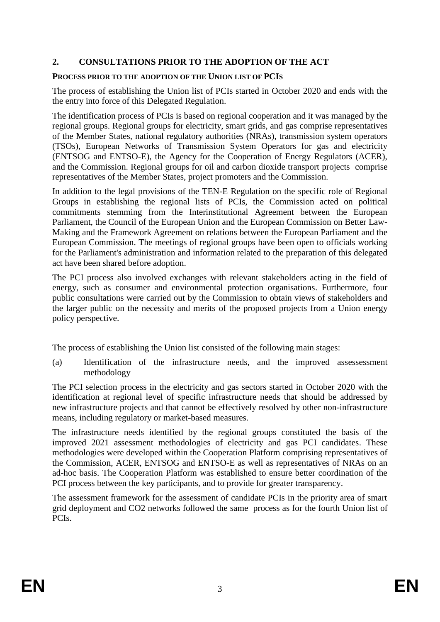### **2. CONSULTATIONS PRIOR TO THE ADOPTION OF THE ACT**

#### **PROCESS PRIOR TO THE ADOPTION OF THE UNION LIST OF PCIS**

The process of establishing the Union list of PCIs started in October 2020 and ends with the the entry into force of this Delegated Regulation.

The identification process of PCIs is based on regional cooperation and it was managed by the regional groups. Regional groups for electricity, smart grids, and gas comprise representatives of the Member States, national regulatory authorities (NRAs), transmission system operators (TSOs), European Networks of Transmission System Operators for gas and electricity (ENTSOG and ENTSO-E), the Agency for the Cooperation of Energy Regulators (ACER), and the Commission. Regional groups for oil and carbon dioxide transport projects comprise representatives of the Member States, project promoters and the Commission.

In addition to the legal provisions of the TEN-E Regulation on the specific role of Regional Groups in establishing the regional lists of PCIs, the Commission acted on political commitments stemming from the Interinstitutional Agreement between the European Parliament, the Council of the European Union and the European Commission on Better Law-Making and the Framework Agreement on relations between the European Parliament and the European Commission. The meetings of regional groups have been open to officials working for the Parliament's administration and information related to the preparation of this delegated act have been shared before adoption.

The PCI process also involved exchanges with relevant stakeholders acting in the field of energy, such as consumer and environmental protection organisations. Furthermore, four public consultations were carried out by the Commission to obtain views of stakeholders and the larger public on the necessity and merits of the proposed projects from a Union energy policy perspective.

The process of establishing the Union list consisted of the following main stages:

(a) Identification of the infrastructure needs, and the improved assessessment methodology

The PCI selection process in the electricity and gas sectors started in October 2020 with the identification at regional level of specific infrastructure needs that should be addressed by new infrastructure projects and that cannot be effectively resolved by other non-infrastructure means, including regulatory or market-based measures.

The infrastructure needs identified by the regional groups constituted the basis of the improved 2021 assessment methodologies of electricity and gas PCI candidates. These methodologies were developed within the Cooperation Platform comprising representatives of the Commission, ACER, ENTSOG and ENTSO-E as well as representatives of NRAs on an ad-hoc basis. The Cooperation Platform was established to ensure better coordination of the PCI process between the key participants, and to provide for greater transparency.

The assessment framework for the assessment of candidate PCIs in the priority area of smart grid deployment and CO2 networks followed the same process as for the fourth Union list of PCIs.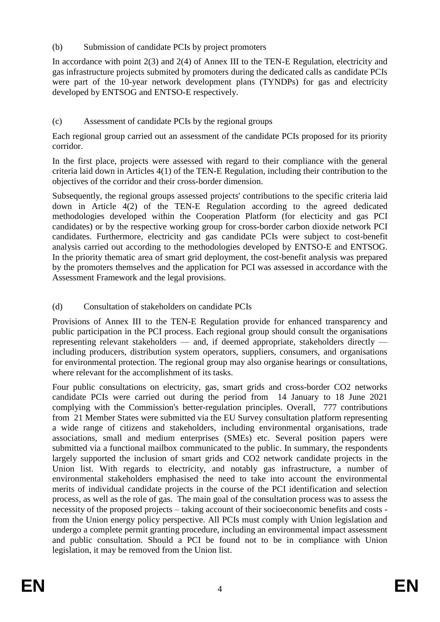(b) Submission of candidate PCIs by project promoters

In accordance with point 2(3) and 2(4) of Annex III to the TEN-E Regulation, electricity and gas infrastructure projects submited by promoters during the dedicated calls as candidate PCIs were part of the 10-year network development plans (TYNDPs) for gas and electricity developed by ENTSOG and ENTSO-E respectively.

# (c) Assessment of candidate PCIs by the regional groups

Each regional group carried out an assessment of the candidate PCIs proposed for its priority corridor.

In the first place, projects were assessed with regard to their compliance with the general criteria laid down in Articles 4(1) of the TEN-E Regulation, including their contribution to the objectives of the corridor and their cross-border dimension.

Subsequently, the regional groups assessed projects' contributions to the specific criteria laid down in Article 4(2) of the TEN-E Regulation according to the agreed dedicated methodologies developed within the Cooperation Platform (for electicity and gas PCI candidates) or by the respective working group for cross-border carbon dioxide network PCI candidates. Furthermore, electricity and gas candidate PCIs were subject to cost-benefit analysis carried out according to the methodologies developed by ENTSO-E and ENTSOG. In the priority thematic area of smart grid deployment, the cost-benefit analysis was prepared by the promoters themselves and the application for PCI was assessed in accordance with the Assessment Framework and the legal provisions.

# (d) Consultation of stakeholders on candidate PCIs

Provisions of Annex III to the TEN-E Regulation provide for enhanced transparency and public participation in the PCI process. Each regional group should consult the organisations representing relevant stakeholders — and, if deemed appropriate, stakeholders directly including producers, distribution system operators, suppliers, consumers, and organisations for environmental protection. The regional group may also organise hearings or consultations, where relevant for the accomplishment of its tasks.

Four public consultations on electricity, gas, smart grids and cross-border CO2 networks candidate PCIs were carried out during the period from 14 January to 18 June 2021 complying with the Commission's better-regulation principles. Overall, 777 contributions from 21 Member States were submitted via the EU Survey consultation platform representing a wide range of citizens and stakeholders, including environmental organisations, trade associations, small and medium enterprises (SMEs) etc. Several position papers were submitted via a functional mailbox communicated to the public. In summary, the respondents largely supported the inclusion of smart grids and CO2 network candidate projects in the Union list. With regards to electricity, and notably gas infrastructure, a number of environmental stakeholders emphasised the need to take into account the environmental merits of individual candidate projects in the course of the PCI identification and selection process, as well as the role of gas. The main goal of the consultation process was to assess the necessity of the proposed projects – taking account of their socioeconomic benefits and costs from the Union energy policy perspective. All PCIs must comply with Union legislation and undergo a complete permit granting procedure, including an environmental impact assessment and public consultation. Should a PCI be found not to be in compliance with Union legislation, it may be removed from the Union list.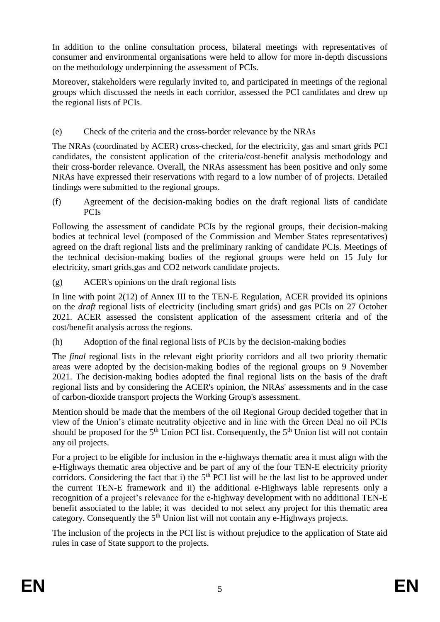In addition to the online consultation process, bilateral meetings with representatives of consumer and environmental organisations were held to allow for more in-depth discussions on the methodology underpinning the assessment of PCIs.

Moreover, stakeholders were regularly invited to, and participated in meetings of the regional groups which discussed the needs in each corridor, assessed the PCI candidates and drew up the regional lists of PCIs.

### (e) Check of the criteria and the cross-border relevance by the NRAs

The NRAs (coordinated by ACER) cross-checked, for the electricity, gas and smart grids PCI candidates, the consistent application of the criteria/cost-benefit analysis methodology and their cross-border relevance. Overall, the NRAs assessment has been positive and only some NRAs have expressed their reservations with regard to a low number of of projects. Detailed findings were submitted to the regional groups.

(f) Agreement of the decision-making bodies on the draft regional lists of candidate PCIs

Following the assessment of candidate PCIs by the regional groups, their decision-making bodies at technical level (composed of the Commission and Member States representatives) agreed on the draft regional lists and the preliminary ranking of candidate PCIs. Meetings of the technical decision-making bodies of the regional groups were held on 15 July for electricity, smart grids,gas and CO2 network candidate projects.

(g) ACER's opinions on the draft regional lists

In line with point 2(12) of Annex III to the TEN-E Regulation, ACER provided its opinions on the *draft* regional lists of electricity (including smart grids) and gas PCIs on 27 October 2021. ACER assessed the consistent application of the assessment criteria and of the cost/benefit analysis across the regions.

(h) Adoption of the final regional lists of PCIs by the decision-making bodies

The *final* regional lists in the relevant eight priority corridors and all two priority thematic areas were adopted by the decision-making bodies of the regional groups on 9 November 2021. The decision-making bodies adopted the final regional lists on the basis of the draft regional lists and by considering the ACER's opinion, the NRAs' assessments and in the case of carbon-dioxide transport projects the Working Group's assessment.

Mention should be made that the members of the oil Regional Group decided together that in view of the Union's climate neutrality objective and in line with the Green Deal no oil PCIs should be proposed for the  $5<sup>th</sup>$  Union PCI list. Consequently, the  $5<sup>th</sup>$  Union list will not contain any oil projects.

For a project to be eligible for inclusion in the e-highways thematic area it must align with the e-Highways thematic area objective and be part of any of the four TEN-E electricity priority corridors. Considering the fact that i) the  $5<sup>th</sup>$  PCI list will be the last list to be approved under the current TEN-E framework and ii) the additional e-Highways lable represents only a recognition of a project's relevance for the e-highway development with no additional TEN-E benefit associated to the lable; it was decided to not select any project for this thematic area category. Consequently the  $5<sup>th</sup>$  Union list will not contain any e-Highways projects.

The inclusion of the projects in the PCI list is without prejudice to the application of State aid rules in case of State support to the projects.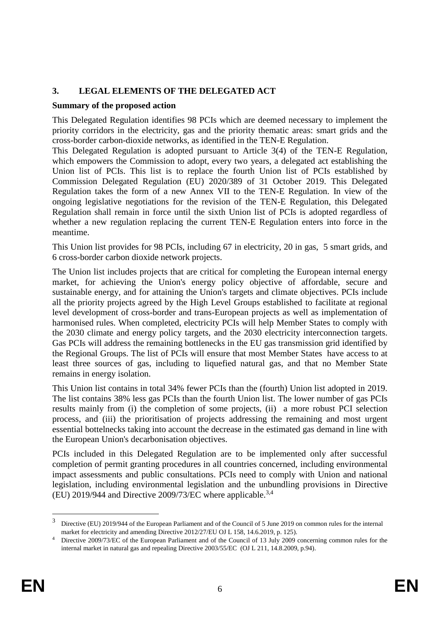### **3. LEGAL ELEMENTS OF THE DELEGATED ACT**

#### **Summary of the proposed action**

This Delegated Regulation identifies 98 PCIs which are deemed necessary to implement the priority corridors in the electricity, gas and the priority thematic areas: smart grids and the cross-border carbon-dioxide networks, as identified in the TEN-E Regulation.

This Delegated Regulation is adopted pursuant to Article 3(4) of the TEN-E Regulation, which empowers the Commission to adopt, every two years, a delegated act establishing the Union list of PCIs. This list is to replace the fourth Union list of PCIs established by Commission Delegated Regulation (EU) 2020/389 of 31 October 2019. This Delegated Regulation takes the form of a new Annex VII to the TEN-E Regulation. In view of the ongoing legislative negotiations for the revision of the TEN-E Regulation, this Delegated Regulation shall remain in force until the sixth Union list of PCIs is adopted regardless of whether a new regulation replacing the current TEN-E Regulation enters into force in the meantime.

This Union list provides for 98 PCIs, including 67 in electricity, 20 in gas, 5 smart grids, and 6 cross-border carbon dioxide network projects.

The Union list includes projects that are critical for completing the European internal energy market, for achieving the Union's energy policy objective of affordable, secure and sustainable energy, and for attaining the Union's targets and climate objectives. PCIs include all the priority projects agreed by the High Level Groups established to facilitate at regional level development of cross-border and trans-European projects as well as implementation of harmonised rules. When completed, electricity PCIs will help Member States to comply with the 2030 climate and energy policy targets, and the 2030 electricity interconnection targets. Gas PCIs will address the remaining bottlenecks in the EU gas transmission grid identified by the Regional Groups. The list of PCIs will ensure that most Member States have access to at least three sources of gas, including to liquefied natural gas, and that no Member State remains in energy isolation.

This Union list contains in total 34% fewer PCIs than the (fourth) Union list adopted in 2019. The list contains 38% less gas PCIs than the fourth Union list. The lower number of gas PCIs results mainly from (i) the completion of some projects, (ii) a more robust PCI selection process, and (iii) the prioritisation of projects addressing the remaining and most urgent essential bottelnecks taking into account the decrease in the estimated gas demand in line with the European Union's decarbonisation objectives.

PCIs included in this Delegated Regulation are to be implemented only after successful completion of permit granting procedures in all countries concerned, including environmental impact assessments and public consultations. PCIs need to comply with Union and national legislation, including environmental legislation and the unbundling provisions in Directive (EU) 2019/944 and Directive 2009/73/EC where applicable. 3,4

1

<sup>3</sup> Directive (EU) 2019/944 of the European Parliament and of the Council of 5 June 2019 on common rules for the internal market for electricity and amending Directive 2012/27/EU OJ L 158, 14.6.2019, p. 125).

Directive 2009/73/EC of the European Parliament and of the Council of 13 July 2009 concerning common rules for the internal market in natural gas and repealing Directive 2003/55/EC (OJ L 211, 14.8.2009, p.94).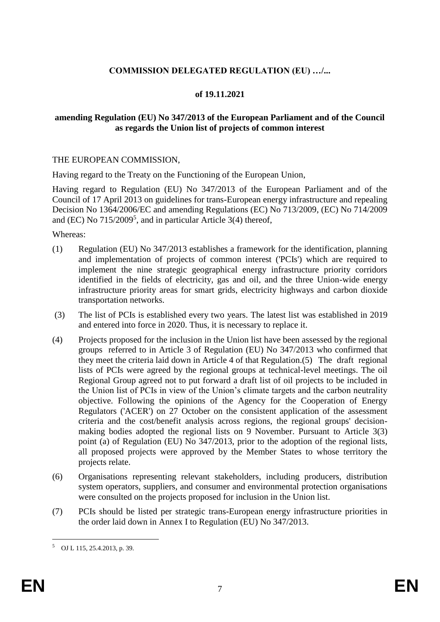### **COMMISSION DELEGATED REGULATION (EU) …/...**

#### **of 19.11.2021**

#### **amending Regulation (EU) No 347/2013 of the European Parliament and of the Council as regards the Union list of projects of common interest**

#### THE EUROPEAN COMMISSION,

Having regard to the Treaty on the Functioning of the European Union,

Having regard to Regulation (EU) No 347/2013 of the European Parliament and of the Council of 17 April 2013 on guidelines for trans-European energy infrastructure and repealing Decision No 1364/2006/EC and amending Regulations (EC) No 713/2009, (EC) No 714/2009 and (EC) No  $715/2009^5$ , and in particular Article 3(4) thereof,

Whereas:

- (1) Regulation (EU) No 347/2013 establishes a framework for the identification, planning and implementation of projects of common interest ('PCIs') which are required to implement the nine strategic geographical energy infrastructure priority corridors identified in the fields of electricity, gas and oil, and the three Union-wide energy infrastructure priority areas for smart grids, electricity highways and carbon dioxide transportation networks.
- (3) The list of PCIs is established every two years. The latest list was established in 2019 and entered into force in 2020. Thus, it is necessary to replace it.
- (4) Projects proposed for the inclusion in the Union list have been assessed by the regional groups referred to in Article 3 of Regulation (EU) No 347/2013 who confirmed that they meet the criteria laid down in Article 4 of that Regulation.(5) The draft regional lists of PCIs were agreed by the regional groups at technical-level meetings. The oil Regional Group agreed not to put forward a draft list of oil projects to be included in the Union list of PCIs in view of the Union's climate targets and the carbon neutrality objective. Following the opinions of the Agency for the Cooperation of Energy Regulators ('ACER') on 27 October on the consistent application of the assessment criteria and the cost/benefit analysis across regions, the regional groups' decisionmaking bodies adopted the regional lists on 9 November. Pursuant to Article 3(3) point (a) of Regulation (EU) No 347/2013, prior to the adoption of the regional lists, all proposed projects were approved by the Member States to whose territory the projects relate.
- (6) Organisations representing relevant stakeholders, including producers, distribution system operators, suppliers, and consumer and environmental protection organisations were consulted on the projects proposed for inclusion in the Union list.
- (7) PCIs should be listed per strategic trans-European energy infrastructure priorities in the order laid down in Annex I to Regulation (EU) No 347/2013.

<u>.</u>

<sup>5</sup> OJ L 115, 25.4.2013, p. 39.